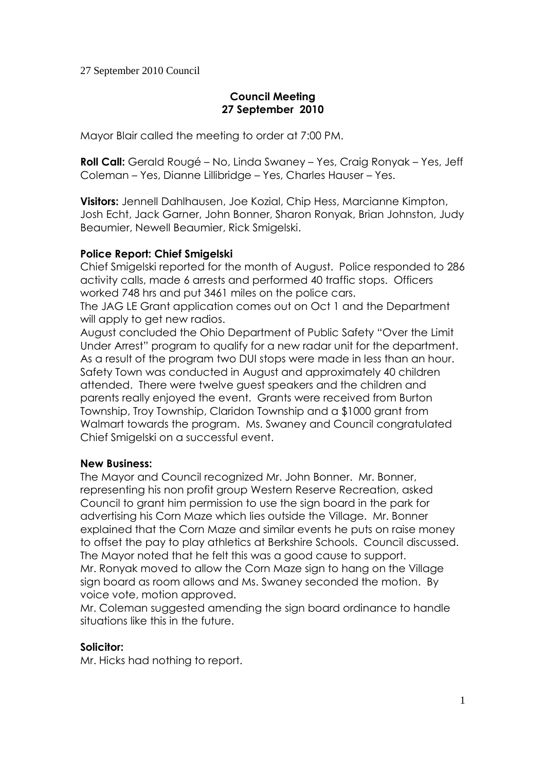# **Council Meeting 27 September 2010**

Mayor Blair called the meeting to order at 7:00 PM.

**Roll Call:** Gerald Rougé – No, Linda Swaney – Yes, Craig Ronyak – Yes, Jeff Coleman – Yes, Dianne Lillibridge – Yes, Charles Hauser – Yes.

**Visitors:** Jennell Dahlhausen, Joe Kozial, Chip Hess, Marcianne Kimpton, Josh Echt, Jack Garner, John Bonner, Sharon Ronyak, Brian Johnston, Judy Beaumier, Newell Beaumier, Rick Smigelski.

# **Police Report: Chief Smigelski**

Chief Smigelski reported for the month of August. Police responded to 286 activity calls, made 6 arrests and performed 40 traffic stops. Officers worked 748 hrs and put 3461 miles on the police cars.

The JAG LE Grant application comes out on Oct 1 and the Department will apply to get new radios.

August concluded the Ohio Department of Public Safety "Over the Limit Under Arrest" program to qualify for a new radar unit for the department. As a result of the program two DUI stops were made in less than an hour. Safety Town was conducted in August and approximately 40 children attended. There were twelve guest speakers and the children and parents really enjoyed the event. Grants were received from Burton Township, Troy Township, Claridon Township and a \$1000 grant from Walmart towards the program. Ms. Swaney and Council congratulated Chief Smigelski on a successful event.

# **New Business:**

The Mayor and Council recognized Mr. John Bonner. Mr. Bonner, representing his non profit group Western Reserve Recreation, asked Council to grant him permission to use the sign board in the park for advertising his Corn Maze which lies outside the Village. Mr. Bonner explained that the Corn Maze and similar events he puts on raise money to offset the pay to play athletics at Berkshire Schools. Council discussed. The Mayor noted that he felt this was a good cause to support. Mr. Ronyak moved to allow the Corn Maze sign to hang on the Village sign board as room allows and Ms. Swaney seconded the motion. By voice vote, motion approved.

Mr. Coleman suggested amending the sign board ordinance to handle situations like this in the future.

# **Solicitor:**

Mr. Hicks had nothing to report.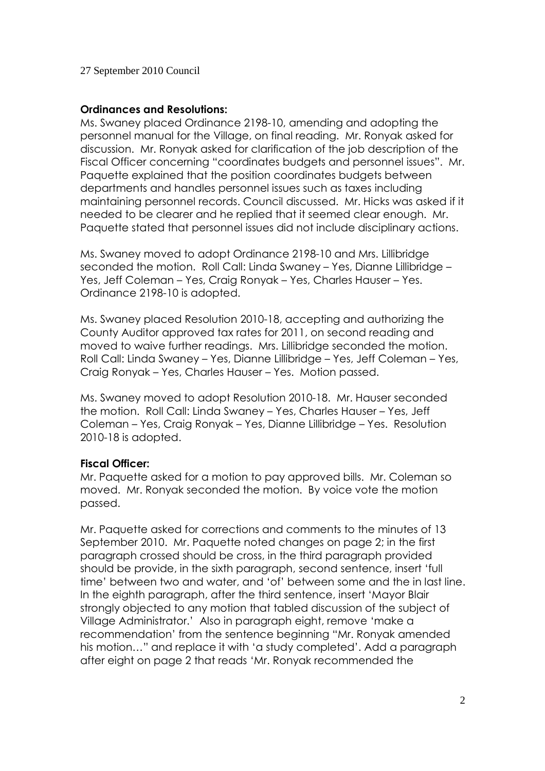#### **Ordinances and Resolutions:**

Ms. Swaney placed Ordinance 2198-10, amending and adopting the personnel manual for the Village, on final reading. Mr. Ronyak asked for discussion. Mr. Ronyak asked for clarification of the job description of the Fiscal Officer concerning "coordinates budgets and personnel issues". Mr. Paquette explained that the position coordinates budgets between departments and handles personnel issues such as taxes including maintaining personnel records. Council discussed. Mr. Hicks was asked if it needed to be clearer and he replied that it seemed clear enough. Mr. Paquette stated that personnel issues did not include disciplinary actions.

Ms. Swaney moved to adopt Ordinance 2198-10 and Mrs. Lillibridge seconded the motion. Roll Call: Linda Swaney – Yes, Dianne Lillibridge – Yes, Jeff Coleman – Yes, Craig Ronyak – Yes, Charles Hauser – Yes. Ordinance 2198-10 is adopted.

Ms. Swaney placed Resolution 2010-18, accepting and authorizing the County Auditor approved tax rates for 2011, on second reading and moved to waive further readings. Mrs. Lillibridge seconded the motion. Roll Call: Linda Swaney – Yes, Dianne Lillibridge – Yes, Jeff Coleman – Yes, Craig Ronyak – Yes, Charles Hauser – Yes. Motion passed.

Ms. Swaney moved to adopt Resolution 2010-18. Mr. Hauser seconded the motion. Roll Call: Linda Swaney – Yes, Charles Hauser – Yes, Jeff Coleman – Yes, Craig Ronyak – Yes, Dianne Lillibridge – Yes. Resolution 2010-18 is adopted.

# **Fiscal Officer:**

Mr. Paquette asked for a motion to pay approved bills. Mr. Coleman so moved. Mr. Ronyak seconded the motion. By voice vote the motion passed.

Mr. Paquette asked for corrections and comments to the minutes of 13 September 2010. Mr. Paquette noted changes on page 2; in the first paragraph crossed should be cross, in the third paragraph provided should be provide, in the sixth paragraph, second sentence, insert 'full time' between two and water, and 'of' between some and the in last line. In the eighth paragraph, after the third sentence, insert 'Mayor Blair strongly objected to any motion that tabled discussion of the subject of Village Administrator.' Also in paragraph eight, remove 'make a recommendation' from the sentence beginning "Mr. Ronyak amended his motion…" and replace it with 'a study completed'. Add a paragraph after eight on page 2 that reads 'Mr. Ronyak recommended the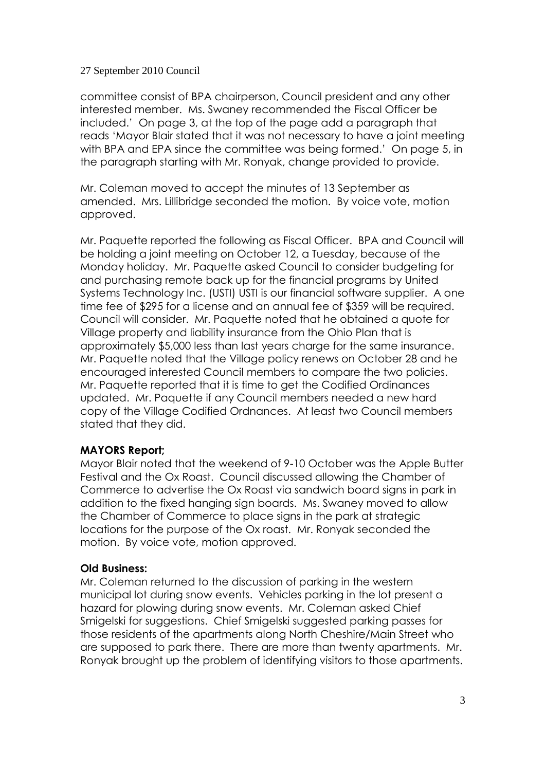committee consist of BPA chairperson, Council president and any other interested member. Ms. Swaney recommended the Fiscal Officer be included.' On page 3, at the top of the page add a paragraph that reads 'Mayor Blair stated that it was not necessary to have a joint meeting with BPA and EPA since the committee was being formed.' On page 5, in the paragraph starting with Mr. Ronyak, change provided to provide.

Mr. Coleman moved to accept the minutes of 13 September as amended. Mrs. Lillibridge seconded the motion. By voice vote, motion approved.

Mr. Paquette reported the following as Fiscal Officer. BPA and Council will be holding a joint meeting on October 12, a Tuesday, because of the Monday holiday. Mr. Paquette asked Council to consider budgeting for and purchasing remote back up for the financial programs by United Systems Technology Inc. (USTI) USTI is our financial software supplier. A one time fee of \$295 for a license and an annual fee of \$359 will be required. Council will consider. Mr. Paquette noted that he obtained a quote for Village property and liability insurance from the Ohio Plan that is approximately \$5,000 less than last years charge for the same insurance. Mr. Paquette noted that the Village policy renews on October 28 and he encouraged interested Council members to compare the two policies. Mr. Paquette reported that it is time to get the Codified Ordinances updated. Mr. Paquette if any Council members needed a new hard copy of the Village Codified Ordnances. At least two Council members stated that they did.

# **MAYORS Report;**

Mayor Blair noted that the weekend of 9-10 October was the Apple Butter Festival and the Ox Roast. Council discussed allowing the Chamber of Commerce to advertise the Ox Roast via sandwich board signs in park in addition to the fixed hanging sign boards. Ms. Swaney moved to allow the Chamber of Commerce to place signs in the park at strategic locations for the purpose of the Ox roast. Mr. Ronyak seconded the motion. By voice vote, motion approved.

# **Old Business:**

Mr. Coleman returned to the discussion of parking in the western municipal lot during snow events. Vehicles parking in the lot present a hazard for plowing during snow events. Mr. Coleman asked Chief Smigelski for suggestions. Chief Smigelski suggested parking passes for those residents of the apartments along North Cheshire/Main Street who are supposed to park there. There are more than twenty apartments. Mr. Ronyak brought up the problem of identifying visitors to those apartments.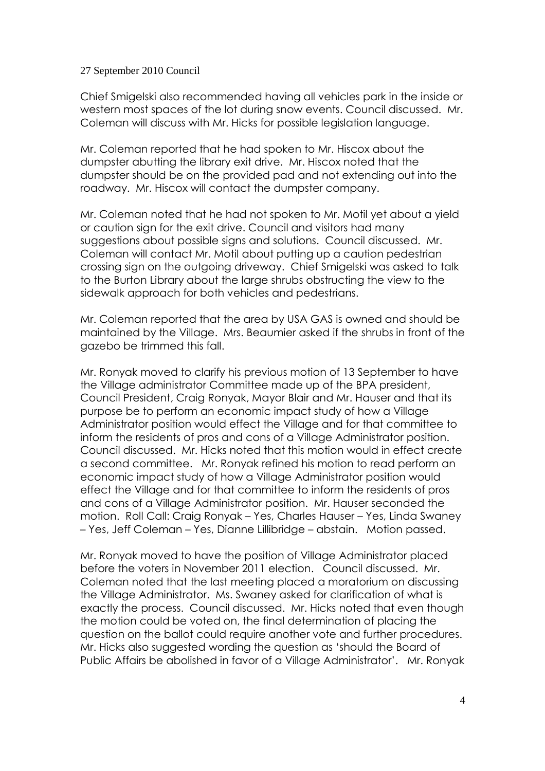Chief Smigelski also recommended having all vehicles park in the inside or western most spaces of the lot during snow events. Council discussed. Mr. Coleman will discuss with Mr. Hicks for possible legislation language.

Mr. Coleman reported that he had spoken to Mr. Hiscox about the dumpster abutting the library exit drive. Mr. Hiscox noted that the dumpster should be on the provided pad and not extending out into the roadway. Mr. Hiscox will contact the dumpster company.

Mr. Coleman noted that he had not spoken to Mr. Motil yet about a yield or caution sign for the exit drive. Council and visitors had many suggestions about possible signs and solutions. Council discussed. Mr. Coleman will contact Mr. Motil about putting up a caution pedestrian crossing sign on the outgoing driveway. Chief Smigelski was asked to talk to the Burton Library about the large shrubs obstructing the view to the sidewalk approach for both vehicles and pedestrians.

Mr. Coleman reported that the area by USA GAS is owned and should be maintained by the Village. Mrs. Beaumier asked if the shrubs in front of the gazebo be trimmed this fall.

Mr. Ronyak moved to clarify his previous motion of 13 September to have the Village administrator Committee made up of the BPA president, Council President, Craig Ronyak, Mayor Blair and Mr. Hauser and that its purpose be to perform an economic impact study of how a Village Administrator position would effect the Village and for that committee to inform the residents of pros and cons of a Village Administrator position. Council discussed. Mr. Hicks noted that this motion would in effect create a second committee. Mr. Ronyak refined his motion to read perform an economic impact study of how a Village Administrator position would effect the Village and for that committee to inform the residents of pros and cons of a Village Administrator position. Mr. Hauser seconded the motion. Roll Call: Craig Ronyak – Yes, Charles Hauser – Yes, Linda Swaney – Yes, Jeff Coleman – Yes, Dianne Lillibridge – abstain. Motion passed.

Mr. Ronyak moved to have the position of Village Administrator placed before the voters in November 2011 election. Council discussed. Mr. Coleman noted that the last meeting placed a moratorium on discussing the Village Administrator. Ms. Swaney asked for clarification of what is exactly the process. Council discussed. Mr. Hicks noted that even though the motion could be voted on, the final determination of placing the question on the ballot could require another vote and further procedures. Mr. Hicks also suggested wording the question as 'should the Board of Public Affairs be abolished in favor of a Village Administrator'. Mr. Ronyak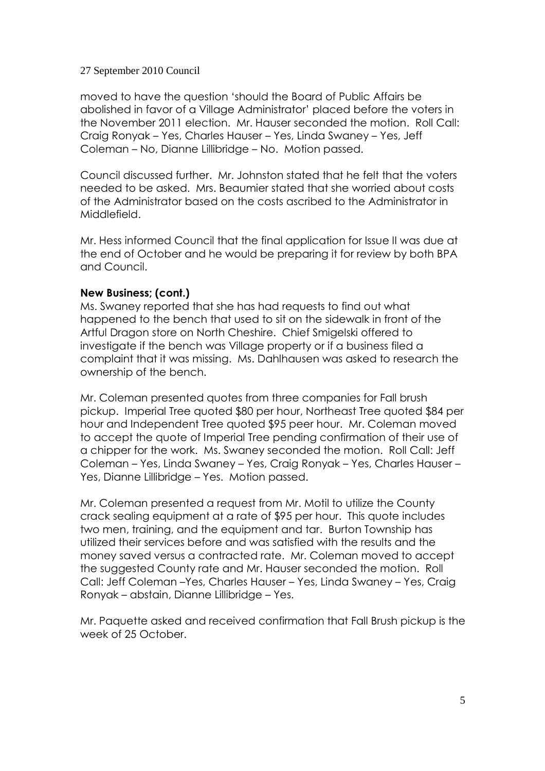moved to have the question 'should the Board of Public Affairs be abolished in favor of a Village Administrator' placed before the voters in the November 2011 election. Mr. Hauser seconded the motion. Roll Call: Craig Ronyak – Yes, Charles Hauser – Yes, Linda Swaney – Yes, Jeff Coleman – No, Dianne Lillibridge – No. Motion passed.

Council discussed further. Mr. Johnston stated that he felt that the voters needed to be asked. Mrs. Beaumier stated that she worried about costs of the Administrator based on the costs ascribed to the Administrator in Middlefield.

Mr. Hess informed Council that the final application for Issue II was due at the end of October and he would be preparing it for review by both BPA and Council.

# **New Business; (cont.)**

Ms. Swaney reported that she has had requests to find out what happened to the bench that used to sit on the sidewalk in front of the Artful Dragon store on North Cheshire. Chief Smigelski offered to investigate if the bench was Village property or if a business filed a complaint that it was missing. Ms. Dahlhausen was asked to research the ownership of the bench.

Mr. Coleman presented quotes from three companies for Fall brush pickup. Imperial Tree quoted \$80 per hour, Northeast Tree quoted \$84 per hour and Independent Tree quoted \$95 peer hour. Mr. Coleman moved to accept the quote of Imperial Tree pending confirmation of their use of a chipper for the work. Ms. Swaney seconded the motion. Roll Call: Jeff Coleman – Yes, Linda Swaney – Yes, Craig Ronyak – Yes, Charles Hauser – Yes, Dianne Lillibridge – Yes. Motion passed.

Mr. Coleman presented a request from Mr. Motil to utilize the County crack sealing equipment at a rate of \$95 per hour. This quote includes two men, training, and the equipment and tar. Burton Township has utilized their services before and was satisfied with the results and the money saved versus a contracted rate. Mr. Coleman moved to accept the suggested County rate and Mr. Hauser seconded the motion. Roll Call: Jeff Coleman –Yes, Charles Hauser – Yes, Linda Swaney – Yes, Craig Ronyak – abstain, Dianne Lillibridge – Yes.

Mr. Paquette asked and received confirmation that Fall Brush pickup is the week of 25 October.